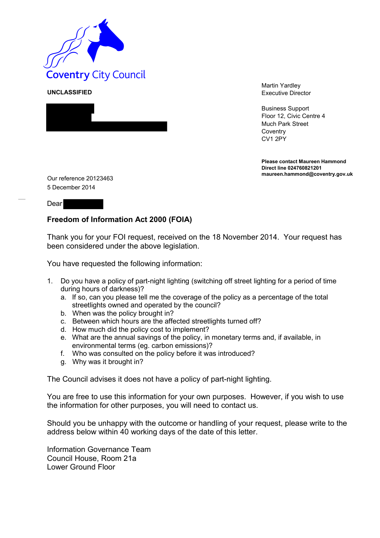

**UNCLASSIFIED**



Martin Yardley Executive Director

Business Support Floor 12, Civic Centre 4 Much Park Street **Coventry** CV1 2PY

**Please contact Maureen Hammond Direct line 024760821201**

Our reference 20123463 5 December 2014

**Dear** 

## **Freedom of Information Act 2000 (FOIA)**

Thank you for your FOI request, received on the 18 November 2014. Your request has been considered under the above legislation.

You have requested the following information:

- 1. Do you have a policy of part-night lighting (switching off street lighting for a period of time during hours of darkness)?
	- a. If so, can you please tell me the coverage of the policy as a percentage of the total streetlights owned and operated by the council?
	- b. When was the policy brought in?
	- c. Between which hours are the affected streetlights turned off?
	- d. How much did the policy cost to implement?
	- e. What are the annual savings of the policy, in monetary terms and, if available, in environmental terms (eg. carbon emissions)?
	- f. Who was consulted on the policy before it was introduced?
	- g. Why was it brought in?

The Council advises it does not have a policy of part-night lighting.

You are free to use this information for your own purposes. However, if you wish to use the information for other purposes, you will need to contact us.

Should you be unhappy with the outcome or handling of your request, please write to the address below within 40 working days of the date of this letter.

Information Governance Team Council House, Room 21a Lower Ground Floor